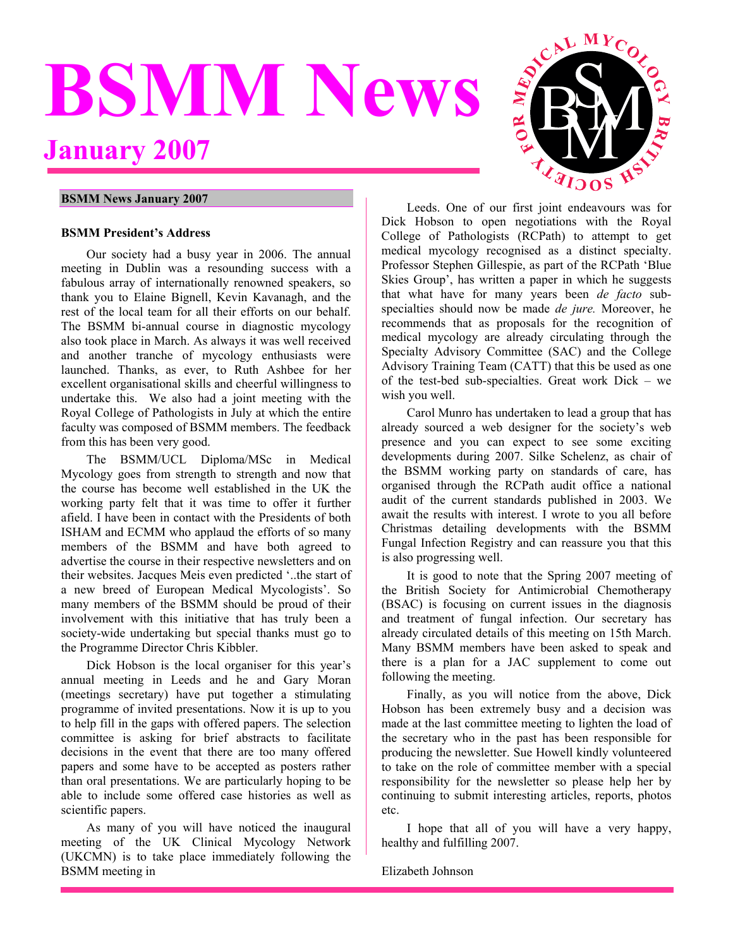# <span id="page-0-0"></span>**BSMM News January 2007**



# **BSMM News January 2007**

#### **BSMM President's Address**

Our society had a busy year in 2006. The annual meeting in Dublin was a resounding success with a fabulous array of internationally renowned speakers, so thank you to Elaine Bignell, Kevin Kavanagh, and the rest of the local team for all their efforts on our behalf. The BSMM bi-annual course in diagnostic mycology also took place in March. As always it was well received and another tranche of mycology enthusiasts were launched. Thanks, as ever, to Ruth Ashbee for her excellent organisational skills and cheerful willingness to undertake this. We also had a joint meeting with the Royal College of Pathologists in July at which the entire faculty was composed of BSMM members. The feedback from this has been very good.

The BSMM/UCL Diploma/MSc in Medical Mycology goes from strength to strength and now that the course has become well established in the UK the working party felt that it was time to offer it further afield. I have been in contact with the Presidents of both ISHAM and ECMM who applaud the efforts of so many members of the BSMM and have both agreed to advertise the course in their respective newsletters and on their websites. Jacques Meis even predicted '..the start of a new breed of European Medical Mycologists'. So many members of the BSMM should be proud of their involvement with this initiative that has truly been a society-wide undertaking but special thanks must go to the Programme Director Chris Kibbler.

Dick Hobson is the local organiser for this year's annual meeting in Leeds and he and Gary Moran (meetings secretary) have put together a stimulating programme of invited presentations. Now it is up to you to help fill in the gaps with offered papers. The selection committee is asking for brief abstracts to facilitate decisions in the event that there are too many offered papers and some have to be accepted as posters rather than oral presentations. We are particularly hoping to be able to include some offered case histories as well as scientific papers.

As many of you will have noticed the inaugural meeting of the UK Clinical Mycology Network (UKCMN) is to take place immediately following the BSMM meeting in

Leeds. One of our first joint endeavours was for Dick Hobson to open negotiations with the Royal College of Pathologists (RCPath) to attempt to get medical mycology recognised as a distinct specialty. Professor Stephen Gillespie, as part of the RCPath 'Blue Skies Group', has written a paper in which he suggests that what have for many years been *de facto* subspecialties should now be made *de jure.* Moreover, he recommends that as proposals for the recognition of medical mycology are already circulating through the Specialty Advisory Committee (SAC) and the College Advisory Training Team (CATT) that this be used as one of the test-bed sub-specialties. Great work Dick – we wish you well.

Carol Munro has undertaken to lead a group that has already sourced a web designer for the society's web presence and you can expect to see some exciting developments during 2007. Silke Schelenz, as chair of the BSMM working party on standards of care, has organised through the RCPath audit office a national audit of the current standards published in 2003. We await the results with interest. I wrote to you all before Christmas detailing developments with the BSMM Fungal Infection Registry and can reassure you that this is also progressing well.

It is good to note that the Spring 2007 meeting of the British Society for Antimicrobial Chemotherapy (BSAC) is focusing on current issues in the diagnosis and treatment of fungal infection. Our secretary has already circulated details of this meeting on 15th March. Many BSMM members have been asked to speak and there is a plan for a JAC supplement to come out following the meeting.

Finally, as you will notice from the above, Dick Hobson has been extremely busy and a decision was made at the last committee meeting to lighten the load of the secretary who in the past has been responsible for producing the newsletter. Sue Howell kindly volunteered to take on the role of committee member with a special responsibility for the newsletter so please help her by continuing to submit interesting articles, reports, photos etc.

I hope that all of you will have a very happy, healthy and fulfilling 2007.

Elizabeth Johnson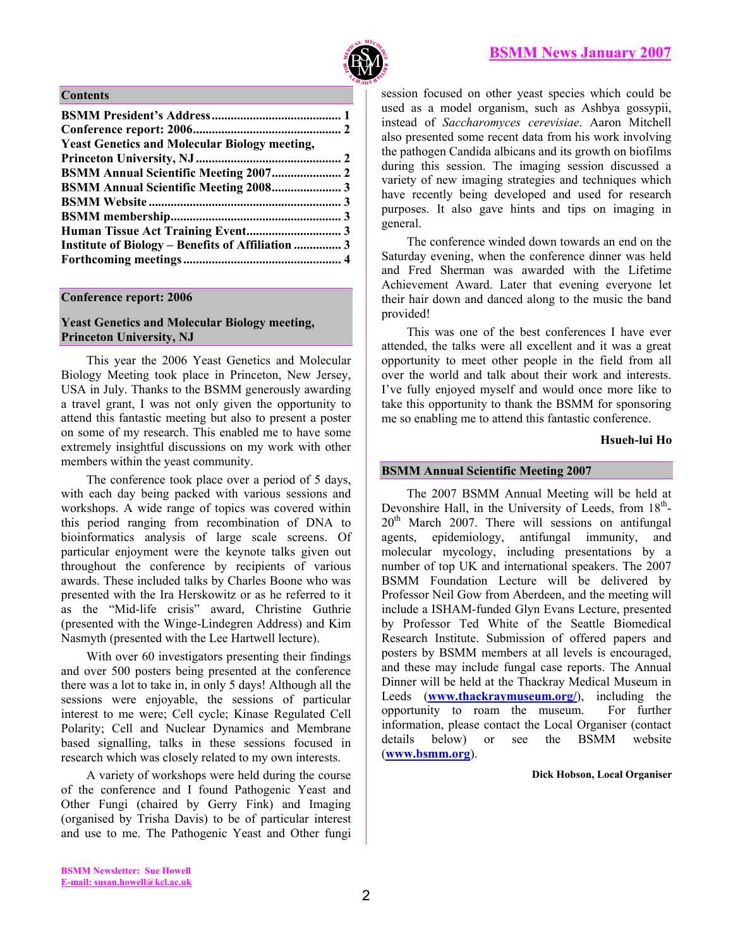

#### <span id="page-1-0"></span>**Contents**

| <b>Yeast Genetics and Molecular Biology meeting,</b> |  |
|------------------------------------------------------|--|
|                                                      |  |
|                                                      |  |
|                                                      |  |
|                                                      |  |
|                                                      |  |
|                                                      |  |
| Institute of Biology – Benefits of Affiliation  3    |  |
|                                                      |  |
|                                                      |  |

# **Conference report: 2006**

# **Yeast Genetics and Molecular Biology meeting, Princeton University, NJ**

This year the 2006 Yeast Genetics and Molecular Biology Meeting took place in Princeton, New Jersey, USA in July. Thanks to the BSMM generously awarding a travel grant, I was not only given the opportunity to attend this fantastic meeting but also to present a poster on some of my research. This enabled me to have some extremely insightful discussions on my work with other members within the yeast community.

The conference took place over a period of 5 days, with each day being packed with various sessions and workshops. A wide range of topics was covered within this period ranging from recombination of DNA to bioinformatics analysis of large scale screens. Of particular enjoyment were the keynote talks given out throughout the conference by recipients of various awards. These included talks by Charles Boone who was presented with the Ira Herskowitz or as he referred to it as the "Mid-life crisis" award, Christine Guthrie (presented with the Winge-Lindegren Address) and Kim Nasmyth (presented with the Lee Hartwell lecture).

With over 60 investigators presenting their findings and over 500 posters being presented at the conference there was a lot to take in, in only 5 days! Although all the sessions were enjoyable, the sessions of particular interest to me were; Cell cycle; Kinase Regulated Cell Polarity; Cell and Nuclear Dynamics and Membrane based signalling, talks in these sessions focused in research which was closely related to my own interests.

A variety of workshops were held during the course of the conference and I found Pathogenic Yeast and Other Fungi (chaired by Gerry Fink) and Imaging (organised by Trisha Davis) to be of particular interest and use to me. The Pathogenic Yeast and Other fungi

session focused on other yeast species which could be used as a model organism, such as Ashbya gossypii, instead of *Saccharomyces cerevisiae*. Aaron Mitchell also presented some recent data from his work involving the pathogen Candida albicans and its growth on biofilms during this session. The imaging session discussed a variety of new imaging strategies and techniques which have recently being developed and used for research purposes. It also gave hints and tips on imaging in general.

The conference winded down towards an end on the Saturday evening, when the conference dinner was held and Fred Sherman was awarded with the Lifetime Achievement Award. Later that evening everyone let their hair down and danced along to the music the band provided!

This was one of the best conferences I have ever attended, the talks were all excellent and it was a great opportunity to meet other people in the field from all over the world and talk about their work and interests. I've fully enjoyed myself and would once more like to take this opportunity to thank the BSMM for sponsoring me so enabling me to attend this fantastic conference.

# **Hsueh-lui Ho**

# **BSMM Annual Scientific Meeting 2007**

The 2007 BSMM Annual Meeting will be held at Devonshire Hall, in the University of Leeds, from  $18<sup>th</sup>$ - $20<sup>th</sup>$  March 2007. There will sessions on antifungal agents, epidemiology, antifungal immunity, and molecular mycology, including presentations by a number of top UK and international speakers. The 2007 BSMM Foundation Lecture will be delivered by Professor Neil Gow from Aberdeen, and the meeting will include a ISHAM-funded Glyn Evans Lecture, presented by Professor Ted White of the Seattle Biomedical Research Institute. Submission of offered papers and posters by BSMM members at all levels is encouraged, and these may include fungal case reports. The Annual Dinner will be held at the Thackray Medical Museum in Leeds (**[www.thackraymuseum.org/](http://www.thackraymuseum.org/)**), including the opportunity to roam the museum. For further information, please contact the Local Organiser (contact details below) or see the BSMM website (**[www.bsmm.org](http://www.bsmm.org/)**).

#### **Dick Hobson, Local Organiser**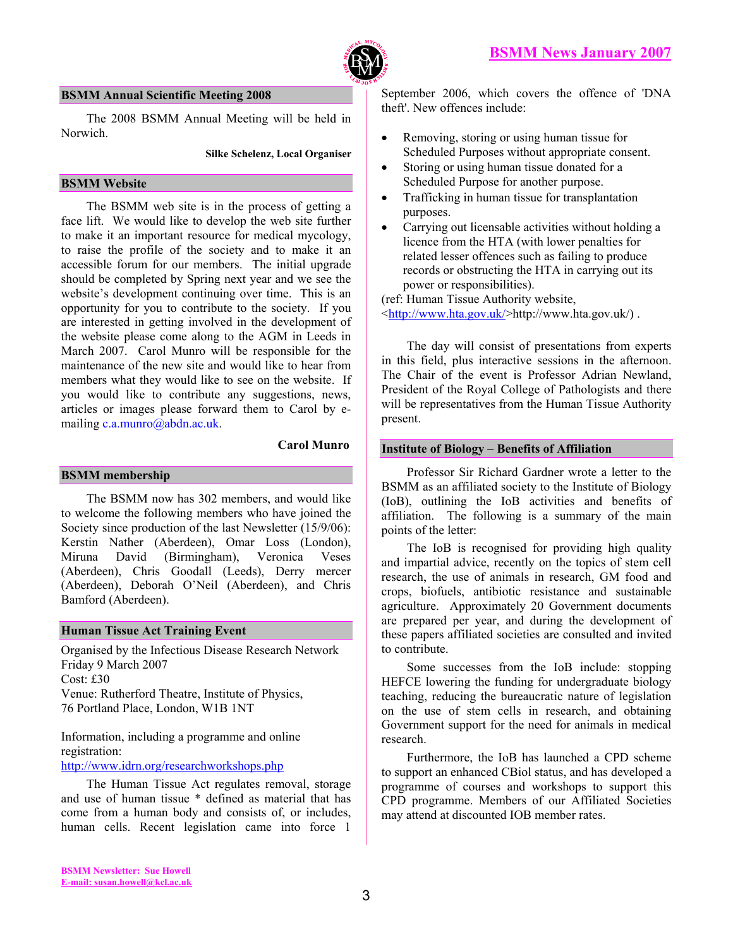

#### <span id="page-2-0"></span>**BSMM Annual Scientific Meeting 2008**

The 2008 BSMM Annual Meeting will be held in Norwich.

#### **Silke Schelenz, Local Organiser**

#### **BSMM Website**

The BSMM web site is in the process of getting a face lift. We would like to develop the web site further to make it an important resource for medical mycology, to raise the profile of the society and to make it an accessible forum for our members. The initial upgrade should be completed by Spring next year and we see the website's development continuing over time. This is an opportunity for you to contribute to the society. If you are interested in getting involved in the development of the website please come along to the AGM in Leeds in March 2007. Carol Munro will be responsible for the maintenance of the new site and would like to hear from members what they would like to see on the website. If you would like to contribute any suggestions, news, articles or images please forward them to Carol by emailing c.a.munro@abdn.ac.uk.

#### **Carol Munro**

#### **BSMM membership**

The BSMM now has 302 members, and would like to welcome the following members who have joined the Society since production of the last Newsletter (15/9/06): Kerstin Nather (Aberdeen), Omar Loss (London), Miruna David (Birmingham), Veronica Veses (Aberdeen), Chris Goodall (Leeds), Derry mercer (Aberdeen), Deborah O'Neil (Aberdeen), and Chris Bamford (Aberdeen).

#### **Human Tissue Act Training Event**

Organised by the Infectious Disease Research Network Friday 9 March 2007 Cost: £30 Venue: Rutherford Theatre, Institute of Physics, 76 Portland Place, London, W1B 1NT

Information, including a programme and online registration:

<http://www.idrn.org/researchworkshops.php>

The Human Tissue Act regulates removal, storage and use of human tissue \* defined as material that has come from a human body and consists of, or includes, human cells. Recent legislation came into force 1

September 2006, which covers the offence of 'DNA theft'. New offences include:

- Removing, storing or using human tissue for Scheduled Purposes without appropriate consent.
- Storing or using human tissue donated for a Scheduled Purpose for another purpose.
- Trafficking in human tissue for transplantation purposes.
- Carrying out licensable activities without holding a licence from the HTA (with lower penalties for related lesser offences such as failing to produce records or obstructing the HTA in carrying out its power or responsibilities).

(ref: Human Tissue Authority website, <<http://www.hta.gov.uk/>>http://www.hta.gov.uk/) .

The day will consist of presentations from experts in this field, plus interactive sessions in the afternoon. The Chair of the event is Professor Adrian Newland, President of the Royal College of Pathologists and there will be representatives from the Human Tissue Authority present.

#### **Institute of Biology – Benefits of Affiliation**

Professor Sir Richard Gardner wrote a letter to the BSMM as an affiliated society to the Institute of Biology (IoB), outlining the IoB activities and benefits of affiliation. The following is a summary of the main points of the letter:

The IoB is recognised for providing high quality and impartial advice, recently on the topics of stem cell research, the use of animals in research, GM food and crops, biofuels, antibiotic resistance and sustainable agriculture. Approximately 20 Government documents are prepared per year, and during the development of these papers affiliated societies are consulted and invited to contribute.

Some successes from the IoB include: stopping HEFCE lowering the funding for undergraduate biology teaching, reducing the bureaucratic nature of legislation on the use of stem cells in research, and obtaining Government support for the need for animals in medical research.

Furthermore, the IoB has launched a CPD scheme to support an enhanced CBiol status, and has developed a programme of courses and workshops to support this CPD programme. Members of our Affiliated Societies may attend at discounted IOB member rates.